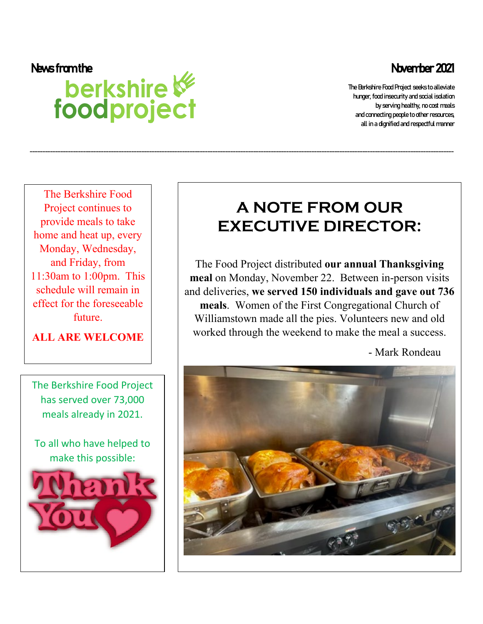The Berkshire Food Project seeks to alleviate hunger, food insecurity and social isolation by serving healthy, no cost meals and connecting people to other resources, all in a dignified and respectful manner

# News from the News from the News from the News from the News from the News from the News for alleviate news 2021<br>
Der Kshire Et Stefan (News Contracting Propies and Scale of the Restaurance in the Berkshire Food Propies an

The Berkshire Food Project continues to provide meals to take home and heat up, every Monday, Wednesday, and Friday, from 11:30am to 1:00pm. This schedule will remain in effect for the foreseeable future.

## **ALL ARE WELCOME**

The Berkshire Food Project has served over 73,000 meals already in 2021.

To all who have helped to make this possible:



# **A NOTE FROM OUR EXECUTIVE DIRECTOR:**

-----------------------------------------------------------------------------------------------------------------------------------------------------------------------

The Food Project distributed **our annual Thanksgiving meal** on Monday, November 22. Between in-person visits and deliveries, **we served 150 individuals and gave out 736 meals**. Women of the First Congregational Church of Williamstown made all the pies. Volunteers new and old worked through the weekend to make the meal a success.

- Mark Rondeau